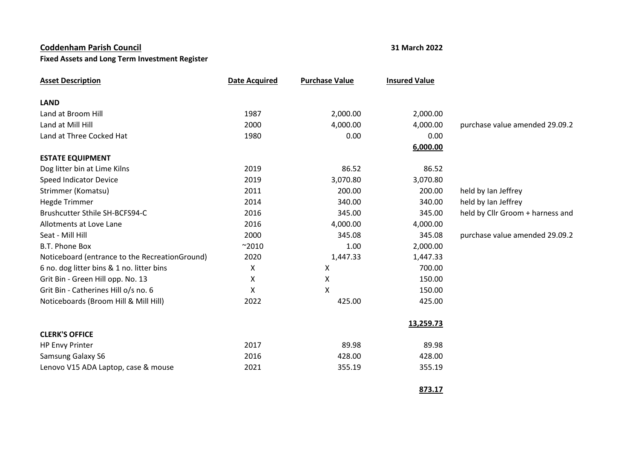## **Coddenham Parish Council 31 March 2022**

## **Fixed Assets and Long Term Investment Register**

| <b>Asset Description</b>                       | <b>Date Acquired</b> | <b>Purchase Value</b> | <b>Insured Value</b> |                                  |
|------------------------------------------------|----------------------|-----------------------|----------------------|----------------------------------|
| <b>LAND</b>                                    |                      |                       |                      |                                  |
| Land at Broom Hill                             | 1987                 | 2,000.00              | 2,000.00             |                                  |
| Land at Mill Hill                              | 2000                 | 4,000.00              | 4,000.00             | purchase value amended 29.09.2   |
| Land at Three Cocked Hat                       | 1980                 | 0.00                  | 0.00                 |                                  |
|                                                |                      |                       | 6,000.00             |                                  |
| <b>ESTATE EQUIPMENT</b>                        |                      |                       |                      |                                  |
| Dog litter bin at Lime Kilns                   | 2019                 | 86.52                 | 86.52                |                                  |
| Speed Indicator Device                         | 2019                 | 3,070.80              | 3,070.80             |                                  |
| Strimmer (Komatsu)                             | 2011                 | 200.00                | 200.00               | held by Ian Jeffrey              |
| <b>Hegde Trimmer</b>                           | 2014                 | 340.00                | 340.00               | held by Ian Jeffrey              |
| Brushcutter Sthile SH-BCFS94-C                 | 2016                 | 345.00                | 345.00               | held by Cllr Groom + harness and |
| Allotments at Love Lane                        | 2016                 | 4,000.00              | 4,000.00             |                                  |
| Seat - Mill Hill                               | 2000                 | 345.08                | 345.08               | purchase value amended 29.09.2   |
| B.T. Phone Box                                 | $^{\sim}2010$        | 1.00                  | 2,000.00             |                                  |
| Noticeboard (entrance to the RecreationGround) | 2020                 | 1,447.33              | 1,447.33             |                                  |
| 6 no. dog litter bins & 1 no. litter bins      | X                    | X                     | 700.00               |                                  |
| Grit Bin - Green Hill opp. No. 13              | X                    | X                     | 150.00               |                                  |
| Grit Bin - Catherines Hill o/s no. 6           | X                    | X                     | 150.00               |                                  |
| Noticeboards (Broom Hill & Mill Hill)          | 2022                 | 425.00                | 425.00               |                                  |
|                                                |                      |                       | 13,259.73            |                                  |
| <b>CLERK'S OFFICE</b>                          |                      |                       |                      |                                  |
| <b>HP Envy Printer</b>                         | 2017                 | 89.98                 | 89.98                |                                  |
| Samsung Galaxy S6                              | 2016                 | 428.00                | 428.00               |                                  |
| Lenovo V15 ADA Laptop, case & mouse            | 2021                 | 355.19                | 355.19               |                                  |

**873.17**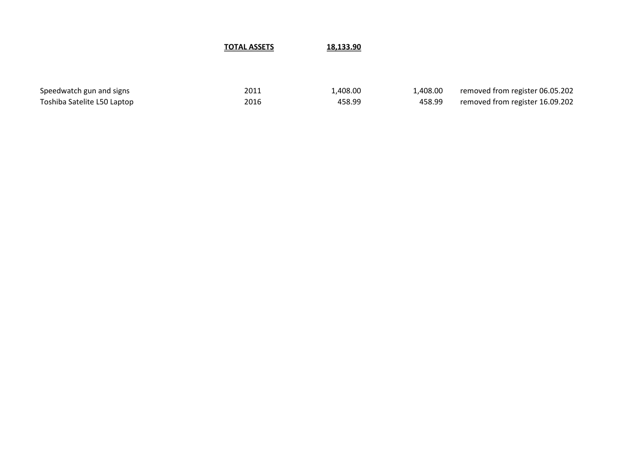**TOTAL ASSETS 18,133.90**

Speedwatch gun and signs 1,408.00 1,408.00 1,408.00 removed from register 06.05.202 Toshiba Satelite L50 Laptop 2016 2016 2016 1998 458.99 458.99 458.99 removed from register 16.09.202